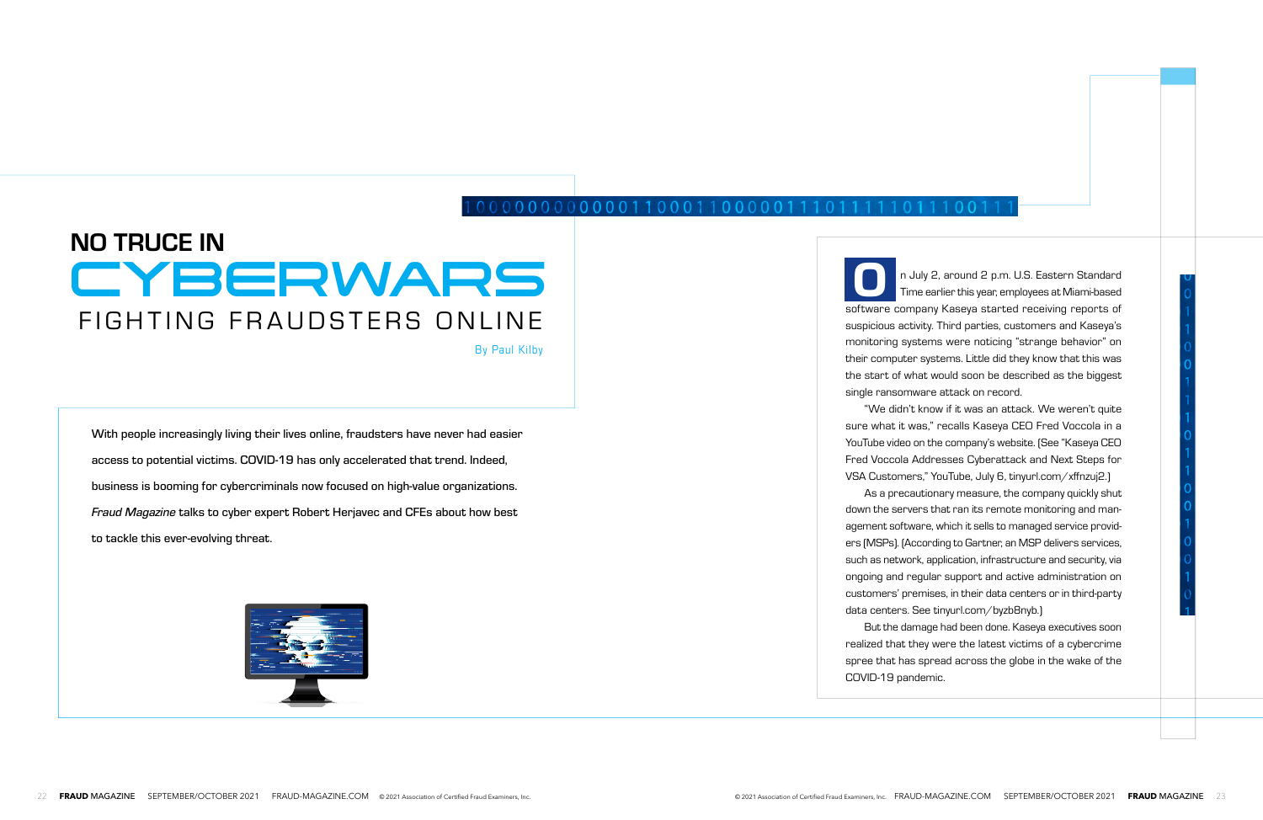## 00000000000011000110000011101

# FIGHTING FRAUDSTERS ONLINE NO TRUCE IN Time earlier this year, employees at Miami-based

With people increasingly living their lives online, fraudsters have never had easier access to potential victims. COVID-19 has only accelerated that trend. Indeed, business is booming for cybercriminals now focused on high-value organizations. *Fraud Magazine* talks to cyber expert Robert Herjavec and CFEs about how best to tackle this ever-evolving threat.



By Paul Kilby

Time earlier this year, employees at Miami-based software company Kaseya started receiving reports of suspicious activity. Third parties, customers and Kaseya's monitoring systems were noticing "strange behavior" on their computer systems. Little did they know that this was the start of what would soon be described as the biggest

"We didn't know if it was an attack. We weren't quite sure what it was," recalls Kaseya CEO Fred Voccola in a YouTube video on the company's website. (See "Kaseya CEO Fred Voccola Addresses Cyberattack and Next Steps for VSA Customers," YouTube, July 6, tinyurl.com/xffnzuj2.)

As a precautionary measure, the company quickly shut down the servers that ran its remote monitoring and management software, which it sells to managed service providers (MSPs). (According to Gartner, an MSP delivers services, such as network, application, infrastructure and security, via ongoing and regular support and active administration on customers' premises, in their data centers or in third-party data centers. See tinyurl.com/byzb8nyb.)

single ransomware attack on record. O

But the damage had been done. Kaseya executives soon realized that they were the latest victims of a cybercrime spree that has spread across the globe in the wake of the COVID-19 pandemic.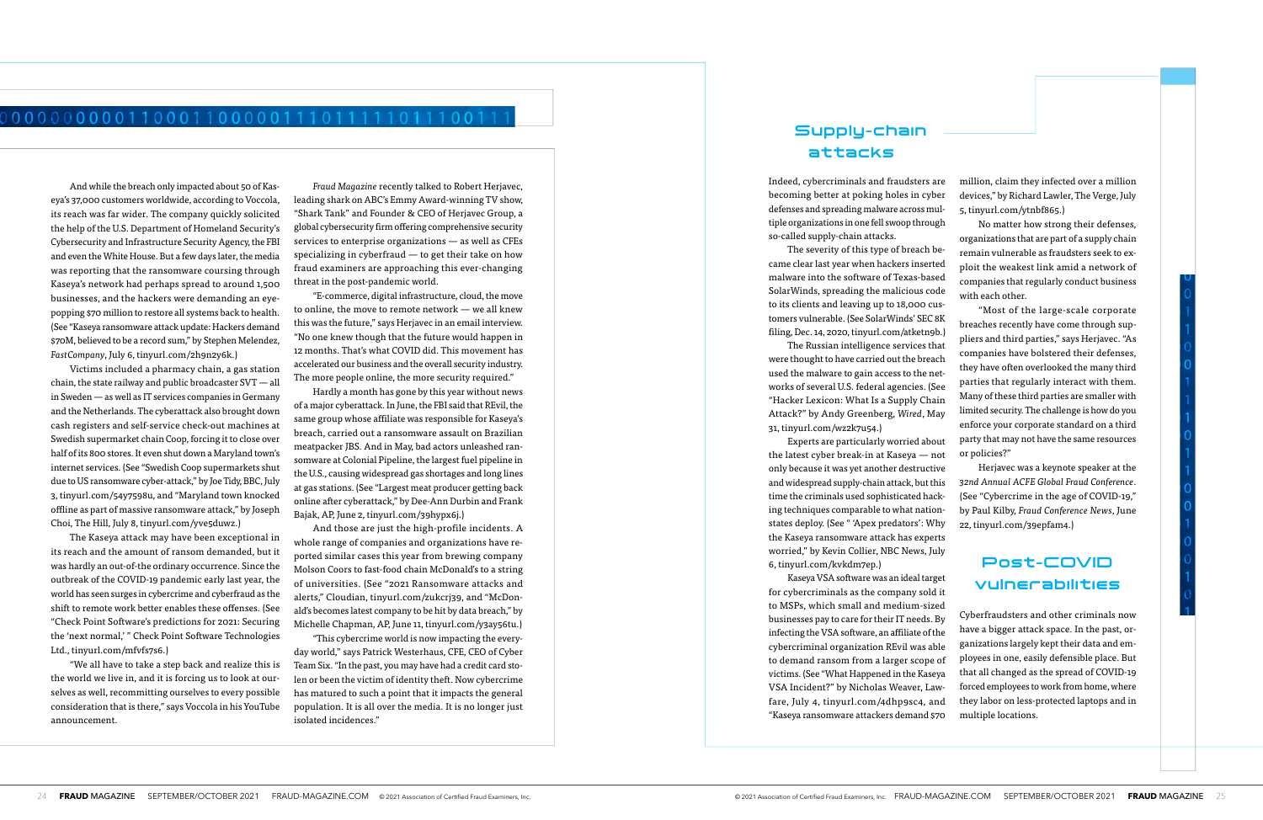## 000000000011000110000011101111101 11001

And while the breach only impacted about 50 of Kaseya's 37,000 customers worldwide, according to Voccola, its reach was far wider. The company quickly solicited the help of the U.S. Department of Homeland Security's Cybersecurity and Infrastructure Security Agency, the FBI and even the White House. But a few days later, the media was reporting that the ransomware coursing through Kaseya's network had perhaps spread to around 1,500 businesses, and the hackers were demanding an eyepopping \$70 million to restore all systems back to health. (See "Kaseya ransomware attack update: Hackers demand \$70M, believed to be a record sum," by Stephen Melendez, *FastCompany*, July 6, tinyurl.com/2h9n2y6k.)

Victims included a pharmacy chain, a gas station chain, the state railway and public broadcaster SVT — all in Sweden — as well as IT services companies in Germany and the Netherlands. The cyberattack also brought down cash registers and self-service check-out machines at Swedish supermarket chain Coop, forcing it to close over half of its 800 stores. It even shut down a Maryland town's internet services. (See "Swedish Coop supermarkets shut due to US ransomware cyber-attack," by Joe Tidy, BBC, July 3, tinyurl.com/54y7598u, and "Maryland town knocked offline as part of massive ransomware attack," by Joseph Choi, The Hill, July 8, tinyurl.com/yve5duwz.)

The Kaseya attack may have been exceptional in its reach and the amount of ransom demanded, but it was hardly an out-of-the ordinary occurrence. Since the outbreak of the COVID-19 pandemic early last year, the world has seen surges in cybercrime and cyberfraud as the shift to remote work better enables these offenses. (See "Check Point Software's predictions for 2021: Securing the 'next normal,' " Check Point Software Technologies Ltd., tinyurl.com/mfvfs7s6.)

"We all have to take a step back and realize this is the world we live in, and it is forcing us to look at ourselves as well, recommitting ourselves to every possible consideration that is there," says Voccola in his YouTube announcement.

*Fraud Magazine* recently talked to Robert Herjavec, leading shark on ABC's Emmy Award-winning TV show, "Shark Tank" and Founder & CEO of Herjavec Group, a global cybersecurity firm offering comprehensive security services to enterprise organizations — as well as CFEs specializing in cyberfraud — to get their take on how fraud examiners are approaching this ever-changing threat in the post-pandemic world.

"E-commerce, digital infrastructure, cloud, the move to online, the move to remote network — we all knew this was the future," says Herjavec in an email interview. "No one knew though that the future would happen in 12 months. That's what COVID did. This movement has accelerated our business and the overall security industry. The more people online, the more security required."

Hardly a month has gone by this year without news of a major cyberattack. In June, the FBI said that REvil, the same group whose affiliate was responsible for Kaseya's breach, carried out a ransomware assault on Brazilian meatpacker JBS. And in May, bad actors unleashed ransomware at Colonial Pipeline, the largest fuel pipeline in the U.S., causing widespread gas shortages and long lines at gas stations. (See "Largest meat producer getting back online after cyberattack," by Dee-Ann Durbin and Frank Bajak, AP, June 2, tinyurl.com/39hypx6j.)

And those are just the high-profile incidents. A whole range of companies and organizations have reported similar cases this year from brewing company Molson Coors to fast-food chain McDonald's to a string of universities. (See "2021 Ransomware attacks and alerts," Cloudian, tinyurl.com/zukcrj39, and "McDonald's becomes latest company to be hit by data breach," by Michelle Chapman, AP, June 11, tinyurl.com/y3ay56tu.)

"This cybercrime world is now impacting the everyday world," says Patrick Westerhaus, CFE, CEO of Cyber Team Six. "In the past, you may have had a credit card stolen or been the victim of identity theft. Now cybercrime has matured to such a point that it impacts the general population. It is all over the media. It is no longer just isolated incidences."

Indeed, cybercriminals and fraudsters are becoming better at poking holes in cyber defenses and spreading malware across multiple organizations in one fell swoop through so-called supply-chain attacks.

The severity of this type of breach became clear last year when hackers inserted malware into the software of Texas-based SolarWinds, spreading the malicious code to its clients and leaving up to 18,000 customers vulnerable. (See SolarWinds' SEC 8K filing, Dec. 14, 2020, tinyurl.com/atketn9b.)

The Russian intelligence services that were thought to have carried out the breach used the malware to gain access to the networks of several U.S. federal agencies. (See "Hacker Lexicon: What Is a Supply Chain Attack?" by Andy Greenberg, *Wired*, May 31, tinyurl.com/wz2k7u54.)

Experts are particularly worried about the latest cyber break-in at Kaseya — not only because it was yet another destructive and widespread supply-chain attack, but this time the criminals used sophisticated hacking techniques comparable to what nationstates deploy. (See " 'Apex predators': Why the Kaseya ransomware attack has experts worried," by Kevin Collier, NBC News, July 6, tinyurl.com/kvkdm7ep.)

million, claim they infected over a million devices," by Richard Lawler, The Verge, July 5, tinyurl.com/ytnbf865.)

No matter how strong their defenses, organizations that are part of a supply chain remain vulnerable as fraudsters seek to exploit the weakest link amid a network of companies that regularly conduct business with each other.

Kaseya VSA software was an ideal target for cybercriminals as the company sold it to MSPs, which small and medium-sized businesses pay to care for their IT needs. By infecting the VSA software, an affiliate of the cybercriminal organization REvil was able to demand ransom from a larger scope of victims. (See "What Happened in the Kaseya VSA Incident?" by Nicholas Weaver, Lawfare, July 4, tinyurl.com/4dhp9sc4, and "Kaseya ransomware attackers demand \$70 vulnerabilities Cyberfraudsters and other criminals now have a bigger attack space. In the past, organizations largely kept their data and employees in one, easily defensible place. But that all changed as the spread of COVID-19 forced employees to work from home, where they labor on less-protected laptops and in multiple locations.

"Most of the large-scale corporate breaches recently have come through suppliers and third parties," says Herjavec. "As companies have bolstered their defenses, they have often overlooked the many third parties that regularly interact with them. Many of these third parties are smaller with limited security. The challenge is how do you enforce your corporate standard on a third party that may not have the same resources or policies?"

Herjavec was a keynote speaker at the *32nd Annual ACFE Global Fraud Conference*. (See "Cybercrime in the age of COVID-19," by Paul Kilby, *Fraud Conference News*, June 22, tinyurl.com/39epfam4.)

# Post-COVID

# Supply-chain attacks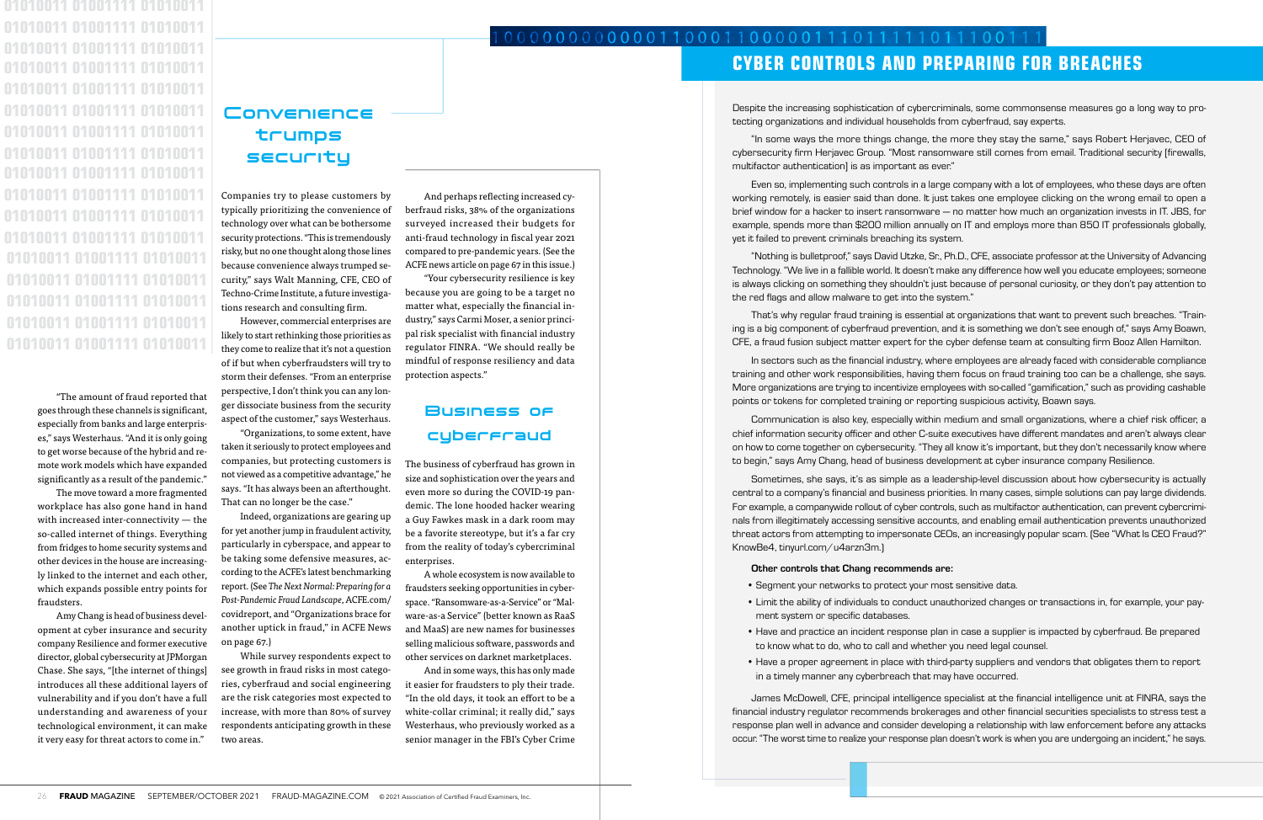"The amount of fraud reported that goes through these channels is significant, especially from banks and large enterprises," says Westerhaus. "And it is only going to get worse because of the hybrid and remote work models which have expanded significantly as a result of the pandemic."

The move toward a more fragmented workplace has also gone hand in hand with increased inter-connectivity — the so-called internet of things. Everything from fridges to home security systems and other devices in the house are increasingly linked to the internet and each other, which expands possible entry points for fraudsters.

Amy Chang is head of business development at cyber insurance and security company Resilience and former executive director, global cybersecurity at JPMorgan Chase. She says, "[the internet of things] introduces all these additional layers of vulnerability and if you don't have a full understanding and awareness of your technological environment, it can make it very easy for threat actors to come in."

Companies try to please customers by typically prioritizing the convenience of technology over what can be bothersome security protections. "This is tremendously risky, but no one thought along those lines because convenience always trumped security," says Walt Manning, CFE, CEO of Techno-Crime Institute, a future investigations research and consulting firm.

However, commercial enterprises are likely to start rethinking those priorities as they come to realize that it's not a question of if but when cyberfraudsters will try to storm their defenses. "From an enterprise perspective, I don't think you can any longer dissociate business from the security aspect of the customer," says Westerhaus.

"Organizations, to some extent, have taken it seriously to protect employees and companies, but protecting customers is not viewed as a competitive advantage," he says. "It has always been an afterthought. That can no longer be the case."

0000000000110001100000111011110111001 CYBER CONTROLS AND PREPARING FOR BREACHES

Indeed, organizations are gearing up for yet another jump in fraudulent activity, particularly in cyberspace, and appear to be taking some defensive measures, according to the ACFE's latest benchmarking report. (See *The Next Normal: Preparing for a Post-Pandemic Fraud Landscape*, ACFE.com/ covidreport, and "Organizations brace for another uptick in fraud," in ACFE News on page 67.)

While survey respondents expect to see growth in fraud risks in most categories, cyberfraud and social engineering are the risk categories most expected to increase, with more than 80% of survey respondents anticipating growth in these two areas.

And perhaps reflecting increased cyberfraud risks, 38% of the organizations surveyed increased their budgets for anti-fraud technology in fiscal year 2021 compared to pre-pandemic years. (See the ACFE news article on page 67 in this issue.)

"Your cybersecurity resilience is key because you are going to be a target no matter what, especially the financial industry," says Carmi Moser, a senior principal risk specialist with financial industry regulator FINRA. "We should really be mindful of response resiliency and data protection aspects."

# Business of cyberfraud

The business of cyberfraud has grown in size and sophistication over the years and even more so during the COVID-19 pandemic. The lone hooded hacker wearing a Guy Fawkes mask in a dark room may be a favorite stereotype, but it's a far cry from the reality of today's cybercriminal enterprises.

A whole ecosystem is now available to fraudsters seeking opportunities in cyberspace. "Ransomware-as-a-Service" or "Malware-as-a Service" (better known as RaaS and MaaS) are new names for businesses selling malicious software, passwords and other services on darknet marketplaces.

And in some ways, this has only made it easier for fraudsters to ply their trade. "In the old days, it took an effort to be a white-collar criminal; it really did," says Westerhaus, who previously worked as a senior manager in the FBI's Cyber Crime

# **Convenience** trumps security

Despite the increasing sophistication of cybercriminals, some commonsense measures go a long way to protecting organizations and individual households from cyberfraud, say experts.

"In some ways the more things change, the more they stay the same," says Robert Herjavec, CEO of cybersecurity firm Herjavec Group. "Most ransomware still comes from email. Traditional security [firewalls, multifactor authentication] is as important as ever."

Even so, implementing such controls in a large company with a lot of employees, who these days are often working remotely, is easier said than done. It just takes one employee clicking on the wrong email to open a brief window for a hacker to insert ransomware — no matter how much an organization invests in IT. JBS, for example, spends more than \$200 million annually on IT and employs more than 850 IT professionals globally, yet it failed to prevent criminals breaching its system.

"Nothing is bulletproof," says David Utzke, Sr., Ph.D., CFE, associate professor at the University of Advancing Technology. "We live in a fallible world. It doesn't make any difference how well you educate employees; someone is always clicking on something they shouldn't just because of personal curiosity, or they don't pay attention to the red flags and allow malware to get into the system."

That's why regular fraud training is essential at organizations that want to prevent such breaches. "Training is a big component of cyberfraud prevention, and it is something we don't see enough of," says Amy Boawn, CFE, a fraud fusion subject matter expert for the cyber defense team at consulting firm Booz Allen Hamilton.

In sectors such as the financial industry, where employees are already faced with considerable compliance training and other work responsibilities, having them focus on fraud training too can be a challenge, she says. More organizations are trying to incentivize employees with so-called "gamification," such as providing cashable points or tokens for completed training or reporting suspicious activity, Boawn says.

Communication is also key, especially within medium and small organizations, where a chief risk officer, a chief information security officer and other C-suite executives have different mandates and aren't always clear on how to come together on cybersecurity. "They all know it's important, but they don't necessarily know where to begin," says Amy Chang, head of business development at cyber insurance company Resilience.

Sometimes, she says, it's as simple as a leadership-level discussion about how cybersecurity is actually central to a company's financial and business priorities. In many cases, simple solutions can pay large dividends. For example, a companywide rollout of cyber controls, such as multifactor authentication, can prevent cybercriminals from illegitimately accessing sensitive accounts, and enabling email authentication prevents unauthorized threat actors from attempting to impersonate CEOs, an increasingly popular scam. (See "What Is CEO Fraud?" KnowBe4, tinyurl.com/u4arzn3m.)

## Other controls that Chang recommends are:

• Limit the ability of individuals to conduct unauthorized changes or transactions in, for example, your pay-

• Have and practice an incident response plan in case a supplier is impacted by cyberfraud. Be prepared

- Segment your networks to protect your most sensitive data.
- ment system or specific databases.
- to know what to do, who to call and whether you need legal counsel.
- in a timely manner any cyberbreach that may have occurred.

• Have a proper agreement in place with third-party suppliers and vendors that obligates them to report

James McDowell, CFE, principal intelligence specialist at the financial intelligence unit at FINRA, says the financial industry regulator recommends brokerages and other financial securities specialists to stress test a response plan well in advance and consider developing a relationship with law enforcement before any attacks occur. "The worst time to realize your response plan doesn't work is when you are undergoing an incident," he says.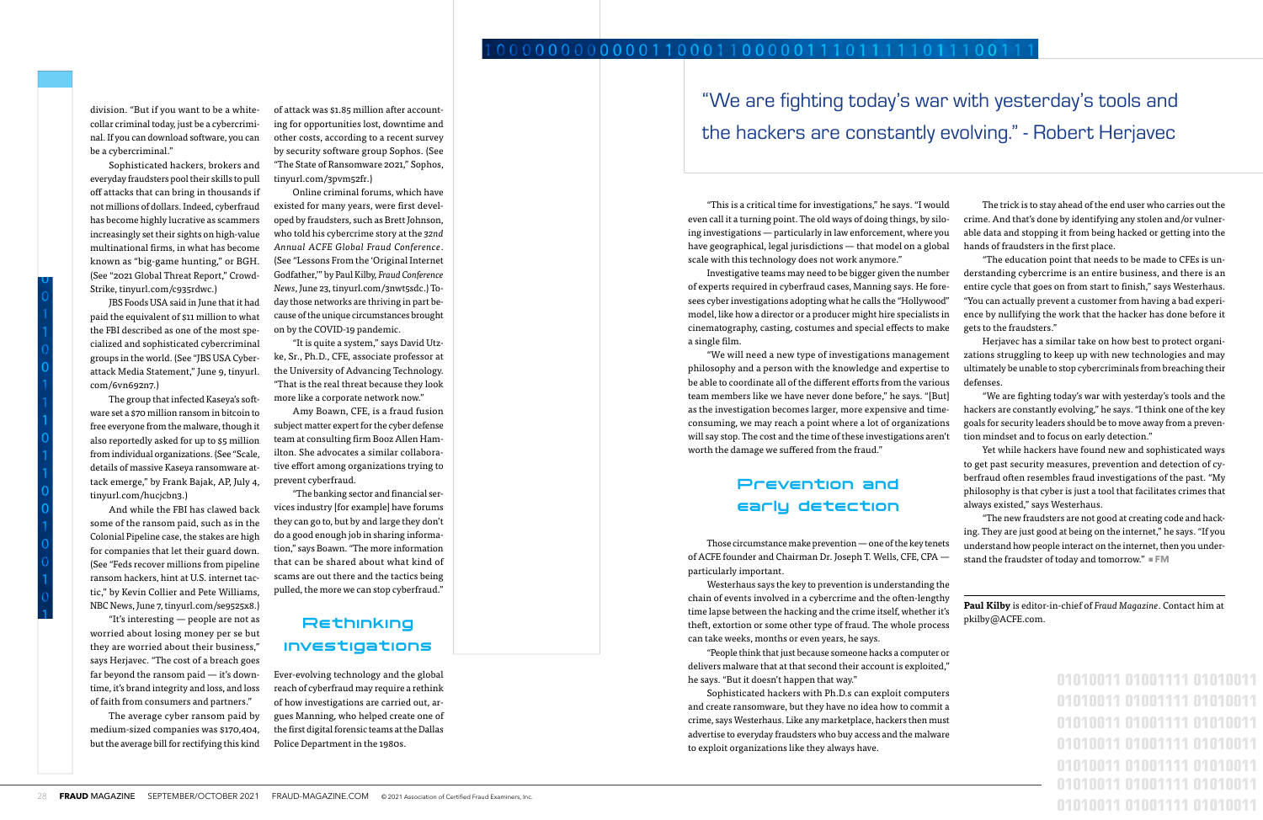division. "But if you want to be a whitecollar criminal today, just be a cybercriminal. If you can download software, you can be a cybercriminal."

Sophisticated hackers, brokers and everyday fraudsters pool their skills to pull off attacks that can bring in thousands if not millions of dollars. Indeed, cyberfraud has become highly lucrative as scammers increasingly set their sights on high-value multinational firms, in what has become known as "big-game hunting," or BGH. (See "2021 Global Threat Report," Crowd-Strike, tinyurl.com/c935rdwc.)

JBS Foods USA said in June that it had paid the equivalent of \$11 million to what the FBI described as one of the most specialized and sophisticated cybercriminal groups in the world. (See "JBS USA Cyberattack Media Statement," June 9, tinyurl. com/6vn692n7.)

The group that infected Kaseya's software set a \$70 million ransom in bitcoin to free everyone from the malware, though it also reportedly asked for up to \$5 million from individual organizations. (See "Scale, details of massive Kaseya ransomware attack emerge," by Frank Bajak, AP, July 4, tinyurl.com/hucjcbn3.)

And while the FBI has clawed back some of the ransom paid, such as in the Colonial Pipeline case, the stakes are high for companies that let their guard down. (See "Feds recover millions from pipeline ransom hackers, hint at U.S. internet tactic," by Kevin Collier and Pete Williams, NBC News, June 7, tinyurl.com/se9525x8.)

"It's interesting — people are not as worried about losing money per se but they are worried about their business," says Herjavec. "The cost of a breach goes far beyond the ransom paid — it's downtime, it's brand integrity and loss, and loss of faith from consumers and partners."

The average cyber ransom paid by medium-sized companies was \$170,404, but the average bill for rectifying this kind of attack was \$1.85 million after accounting for opportunities lost, downtime and other costs, according to a recent survey by security software group Sophos. (See "The State of Ransomware 2021," Sophos, tinyurl.com/3pvm52fr.)

> Those circumstance make prevention — one of the key tenets of ACFE founder and Chairman Dr. Joseph T. Wells, CFE, CPA particularly important. "The new fraudsters are not good at creating code and hacking. They are just good at being on the internet," he says. "If you understand how people interact on the internet, then you understand the fraudster of today and tomorrow."  $\blacksquare$  **FM**

Online criminal forums, which have existed for many years, were first developed by fraudsters, such as Brett Johnson, who told his cybercrime story at the *32nd Annual ACFE Global Fraud Conference*. (See "Lessons From the 'Original Internet Godfather,'" by Paul Kilby, *Fraud Conference News*, June 23, tinyurl.com/3nwt5sdc.) Today those networks are thriving in part because of the unique circumstances brought on by the COVID-19 pandemic.

> Westerhaus says the key to prevention is understanding the chain of events involved in a cybercrime and the often-lengt time lapse between the hacking and the crime itself, whether it theft, extortion or some other type of fraud. The whole proce can take weeks, months or even years, he says.

> "People think that just because someone hacks a computer delivers malware that at that second their account is exploite he says. "But it doesn't happen that way."

"It is quite a system," says David Utzke, Sr., Ph.D., CFE, associate professor at the University of Advancing Technology. "That is the real threat because they look more like a corporate network now."

> Sophisticated hackers with Ph.D.s can exploit compute and create ransomware, but they have no idea how to commi crime, says Westerhaus. Like any marketplace, hackers then must advertise to everyday fraudsters who buy access and the malwa to exploit organizations like they always have.

Amy Boawn, CFE, is a fraud fusion subject matter expert for the cyber defense team at consulting firm Booz Allen Hamilton. She advocates a similar collaborative effort among organizations trying to prevent cyberfraud.

"The banking sector and financial services industry [for example] have forums they can go to, but by and large they don't do a good enough job in sharing information," says Boawn. "The more information that can be shared about what kind of scams are out there and the tactics being pulled, the more we can stop cyberfraud."

# Rethinking investigations

Ever-evolving technology and the global reach of cyberfraud may require a rethink of how investigations are carried out, argues Manning, who helped create one of the first digital forensic teams at the Dallas Police Department in the 1980s.

# Prevention and early detection

"This is a critical time for investigations," he says. "I would even call it a turning point. The old ways of doing things, by siloing investigations — particularly in law enforcement, where you have geographical, legal jurisdictions — that model on a global scale with this technology does not work anymore." The trick is to stay ahead of the end user who carries out the crime. And that's done by identifying any stolen and/or vulnerable data and stopping it from being hacked or getting into the hands of fraudsters in the first place. "The education point that needs to be made to CFEs is un-

Investigative teams may need to be bigger given the number of experts required in cyberfraud cases, Manning says. He foresees cyber investigations adopting what he calls the "Hollywood" model, like how a director or a producer might hire specialists in cinematography, casting, costumes and special effects to make a single film. derstanding cybercrime is an entire business, and there is an entire cycle that goes on from start to finish," says Westerhaus. "You can actually prevent a customer from having a bad experience by nullifying the work that the hacker has done before it gets to the fraudsters." Herjavec has a similar take on how best to protect organi-

"We will need a new type of investigations management philosophy and a person with the knowledge and expertise to be able to coordinate all of the different efforts from the various team members like we have never done before," he says. "[But] as the investigation becomes larger, more expensive and timeconsuming, we may reach a point where a lot of organizations will say stop. The cost and the time of these investigations aren't worth the damage we suffered from the fraud." zations struggling to keep up with new technologies and may ultimately be unable to stop cybercriminals from breaching their defenses. "We are fighting today's war with yesterday's tools and the hackers are constantly evolving," he says. "I think one of the key goals for security leaders should be to move away from a prevention mindset and to focus on early detection."

Yet while hackers have found new and sophisticated ways to get past security measures, prevention and detection of cyberfraud often resembles fraud investigations of the past. "My philosophy is that cyber is just a tool that facilitates crimes that always existed," says Westerhaus.

"We are fighting today's war with yesterday's tools and the hackers are constantly evolving." - Robert Herjavec

| pkilby@ACFE.com. | Paul Kilby is editor-in-chief of Fraud Magazine. Contact him at |
|------------------|-----------------------------------------------------------------|
|                  |                                                                 |
|                  |                                                                 |
|                  | 01010011 01001111 01010011                                      |
|                  | 01010011 01001111 01010011                                      |
|                  | 01010011 01001111 01010011                                      |
|                  | 01010011 01001111 01010011                                      |
|                  | 01010011 01001111 01010011                                      |
|                  | 01010011 01001111 01010011                                      |
|                  |                                                                 |